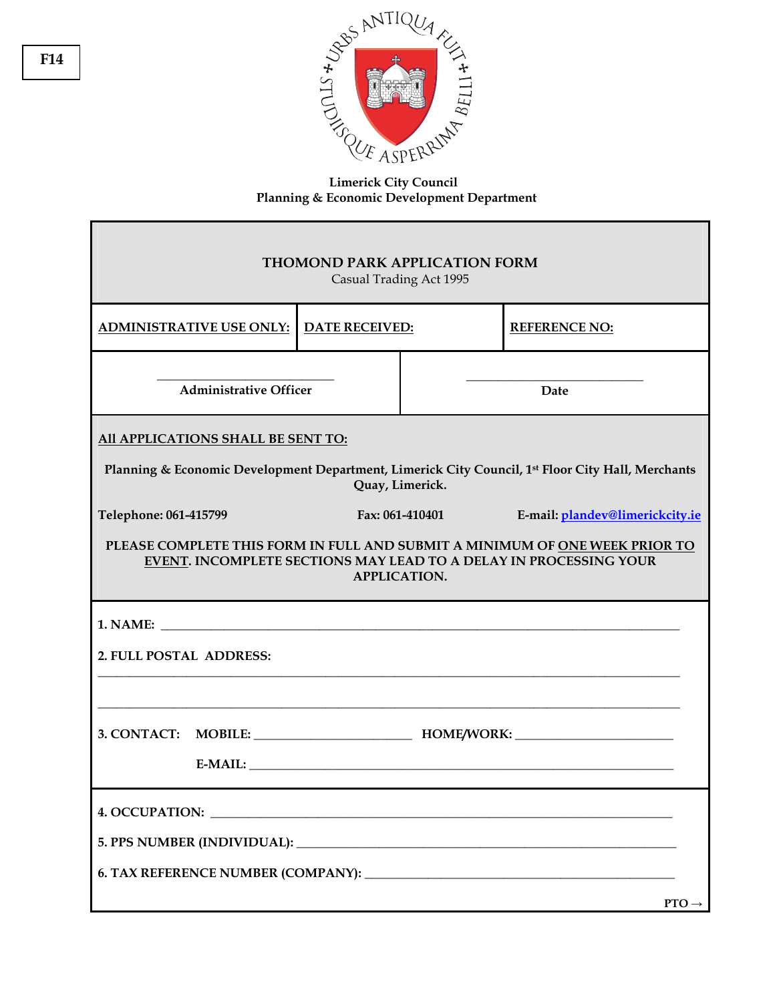

## **Limerick City Council Planning & Economic Development Department**

| THOMOND PARK APPLICATION FORM<br>Casual Trading Act 1995                                                                                                                                                                                               |                       |  |                      |  |
|--------------------------------------------------------------------------------------------------------------------------------------------------------------------------------------------------------------------------------------------------------|-----------------------|--|----------------------|--|
| <b>ADMINISTRATIVE USE ONLY:</b>                                                                                                                                                                                                                        | <b>DATE RECEIVED:</b> |  | <b>REFERENCE NO:</b> |  |
| <b>Administrative Officer</b>                                                                                                                                                                                                                          |                       |  | Date                 |  |
| All APPLICATIONS SHALL BE SENT TO:<br>Planning & Economic Development Department, Limerick City Council, 1 <sup>st</sup> Floor City Hall, Merchants<br>Quay, Limerick.                                                                                 |                       |  |                      |  |
| Telephone: 061-415799<br>Fax: 061-410401<br>E-mail: plandev@limerickcity.ie<br>PLEASE COMPLETE THIS FORM IN FULL AND SUBMIT A MINIMUM OF ONE WEEK PRIOR TO<br>EVENT. INCOMPLETE SECTIONS MAY LEAD TO A DELAY IN PROCESSING YOUR<br><b>APPLICATION.</b> |                       |  |                      |  |
| 1. NAME:<br>2. FULL POSTAL ADDRESS:<br>3. CONTACT: MOBILE: MOBILE: HOME/WORK:                                                                                                                                                                          |                       |  |                      |  |
|                                                                                                                                                                                                                                                        |                       |  | $PTO \rightarrow$    |  |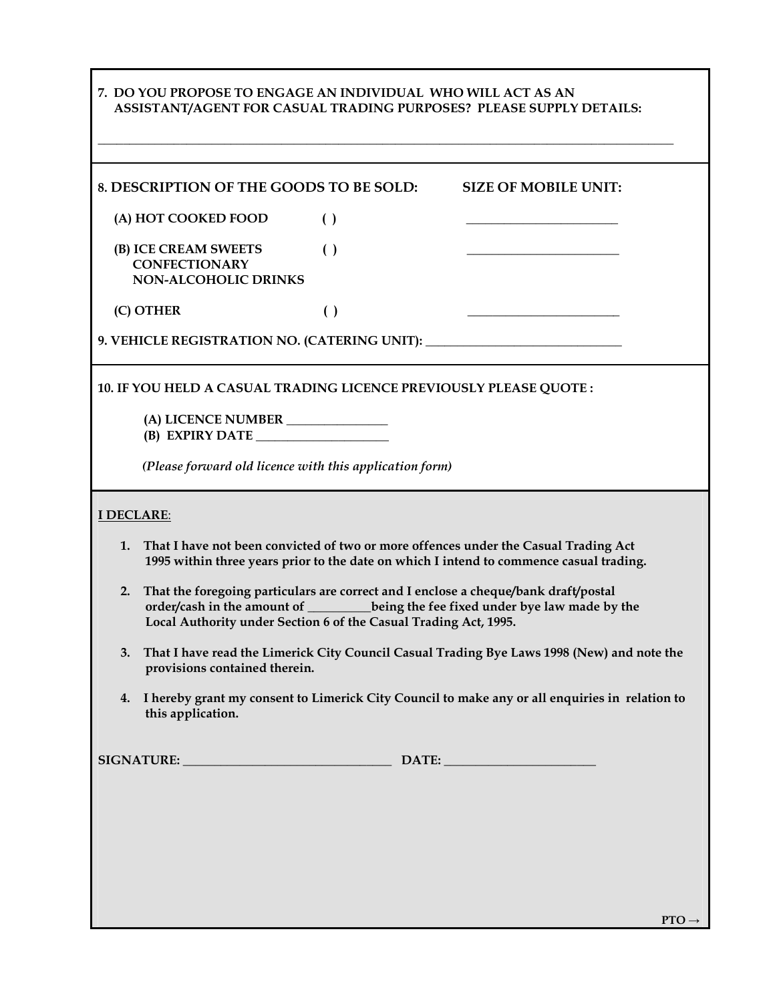|                                                                                                                                                                                                                                                     | 7. DO YOU PROPOSE TO ENGAGE AN INDIVIDUAL WHO WILL ACT AS AN                                                                |                    | ASSISTANT/AGENT FOR CASUAL TRADING PURPOSES? PLEASE SUPPLY DETAILS:              |
|-----------------------------------------------------------------------------------------------------------------------------------------------------------------------------------------------------------------------------------------------------|-----------------------------------------------------------------------------------------------------------------------------|--------------------|----------------------------------------------------------------------------------|
|                                                                                                                                                                                                                                                     | 8. DESCRIPTION OF THE GOODS TO BE SOLD:                                                                                     |                    | <b>SIZE OF MOBILE UNIT:</b>                                                      |
|                                                                                                                                                                                                                                                     | (A) HOT COOKED FOOD                                                                                                         | $\left( \ \right)$ |                                                                                  |
|                                                                                                                                                                                                                                                     | (B) ICE CREAM SWEETS<br><b>CONFECTIONARY</b><br><b>NON-ALCOHOLIC DRINKS</b>                                                 | $\left( \ \right)$ |                                                                                  |
| (C) OTHER                                                                                                                                                                                                                                           |                                                                                                                             | $\left( \ \right)$ |                                                                                  |
|                                                                                                                                                                                                                                                     |                                                                                                                             |                    | 9. VEHICLE REGISTRATION NO. (CATERING UNIT): ___________________________________ |
|                                                                                                                                                                                                                                                     | 10. IF YOU HELD A CASUAL TRADING LICENCE PREVIOUSLY PLEASE QUOTE :                                                          |                    |                                                                                  |
|                                                                                                                                                                                                                                                     | (A) LICENCE NUMBER<br>(B) EXPIRY DATE                                                                                       |                    |                                                                                  |
| (Please forward old licence with this application form)                                                                                                                                                                                             |                                                                                                                             |                    |                                                                                  |
| <b>I DECLARE:</b>                                                                                                                                                                                                                                   |                                                                                                                             |                    |                                                                                  |
| That I have not been convicted of two or more offences under the Casual Trading Act<br>1.<br>1995 within three years prior to the date on which I intend to commence casual trading.                                                                |                                                                                                                             |                    |                                                                                  |
| That the foregoing particulars are correct and I enclose a cheque/bank draft/postal<br>2.<br>order/cash in the amount of _________being the fee fixed under bye law made by the<br>Local Authority under Section 6 of the Casual Trading Act, 1995. |                                                                                                                             |                    |                                                                                  |
| 3.                                                                                                                                                                                                                                                  | That I have read the Limerick City Council Casual Trading Bye Laws 1998 (New) and note the<br>provisions contained therein. |                    |                                                                                  |
| I hereby grant my consent to Limerick City Council to make any or all enquiries in relation to<br>4.<br>this application.                                                                                                                           |                                                                                                                             |                    |                                                                                  |
|                                                                                                                                                                                                                                                     | SIGNATURE: DATE: DATE:                                                                                                      |                    |                                                                                  |
|                                                                                                                                                                                                                                                     |                                                                                                                             |                    |                                                                                  |
|                                                                                                                                                                                                                                                     |                                                                                                                             |                    |                                                                                  |
|                                                                                                                                                                                                                                                     |                                                                                                                             |                    |                                                                                  |
|                                                                                                                                                                                                                                                     |                                                                                                                             |                    | $PTO \rightarrow$                                                                |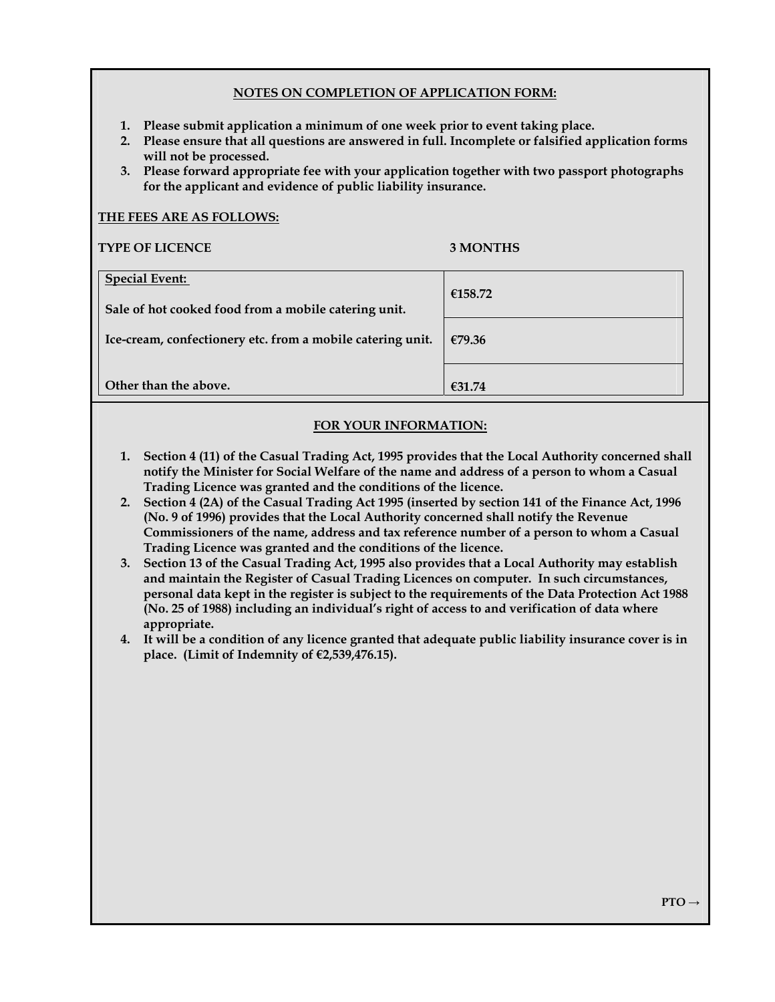## **NOTES ON COMPLETION OF APPLICATION FORM:**

- **1. Please submit application a minimum of one week prior to event taking place.**
- **2. Please ensure that all questions are answered in full. Incomplete or falsified application forms will not be processed.**
- **3. Please forward appropriate fee with your application together with two passport photographs for the applicant and evidence of public liability insurance.**

| <b>TYPE OF LICENCE</b>                                                        | 3 MONTHS |
|-------------------------------------------------------------------------------|----------|
| <b>Special Event:</b><br>Sale of hot cooked food from a mobile catering unit. | €158.72  |
| Ice-cream, confectionery etc. from a mobile catering unit.                    | €79.36   |
| Other than the above.                                                         | €31.74   |

## **FOR YOUR INFORMATION:**

- **1. Section 4 (11) of the Casual Trading Act, 1995 provides that the Local Authority concerned shall notify the Minister for Social Welfare of the name and address of a person to whom a Casual Trading Licence was granted and the conditions of the licence.**
- **2. Section 4 (2A) of the Casual Trading Act 1995 (inserted by section 141 of the Finance Act, 1996 (No. 9 of 1996) provides that the Local Authority concerned shall notify the Revenue Commissioners of the name, address and tax reference number of a person to whom a Casual Trading Licence was granted and the conditions of the licence.**
- **3. Section 13 of the Casual Trading Act, 1995 also provides that a Local Authority may establish and maintain the Register of Casual Trading Licences on computer. In such circumstances, personal data kept in the register is subject to the requirements of the Data Protection Act 1988 (No. 25 of 1988) including an individual's right of access to and verification of data where appropriate.**
- **4. It will be a condition of any licence granted that adequate public liability insurance cover is in place. (Limit of Indemnity of €2,539,476.15).**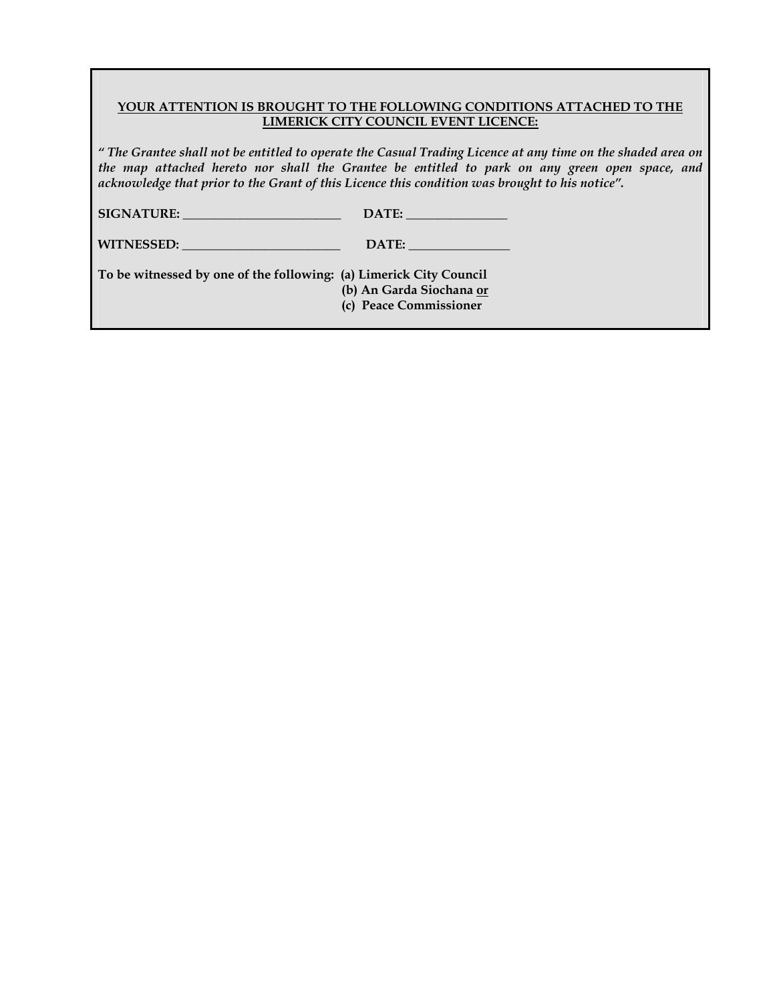## **YOUR ATTENTION IS BROUGHT TO THE FOLLOWING CONDITIONS ATTACHED TO THE LIMERICK CITY COUNCIL EVENT LICENCE:**

*" The Grantee shall not be entitled to operate the Casual Trading Licence at any time on the shaded area on the map attached hereto nor shall the Grantee be entitled to park on any green open space, and acknowledge that prior to the Grant of this Licence this condition was brought to his notice".* 

| <b>SIGNATURE:</b> | DATE: |
|-------------------|-------|
|-------------------|-------|

| <b>WITNESSED:</b> | DATE: |
|-------------------|-------|
|-------------------|-------|

**To be witnessed by one of the following: (a) Limerick City Council (b) An Garda Siochana or (c) Peace Commissioner**